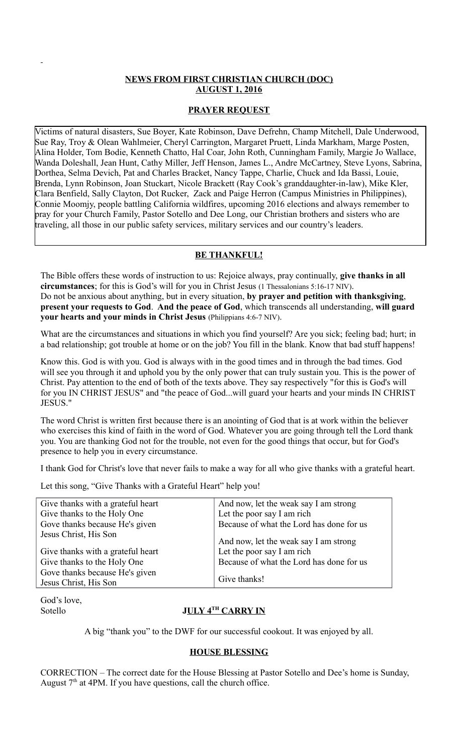## **NEWS FROM FIRST CHRISTIAN CHURCH (DOC) AUGUST 1, 2016**

## **PRAYER REQUEST**

Victims of natural disasters, Sue Boyer, Kate Robinson, Dave Defrehn, Champ Mitchell, Dale Underwood, Sue Ray, Troy & Olean Wahlmeier, Cheryl Carrington, Margaret Pruett, Linda Markham, Marge Posten, Alina Holder, Tom Bodie, Kenneth Chatto, Hal Coar, John Roth, Cunningham Family, Margie Jo Wallace, Wanda Doleshall, Jean Hunt, Cathy Miller, Jeff Henson, James L., Andre McCartney, Steve Lyons, Sabrina, Dorthea, Selma Devich, Pat and Charles Bracket, Nancy Tappe, Charlie, Chuck and Ida Bassi, Louie, Brenda, Lynn Robinson, Joan Stuckart, Nicole Brackett (Ray Cook's granddaughter-in-law), Mike Kler, Clara Benfield, Sally Clayton, Dot Rucker, Zack and Paige Herron (Campus Ministries in Philippines), Connie Moomjy, people battling California wildfires, upcoming 2016 elections and always remember to pray for your Church Family, Pastor Sotello and Dee Long, our Christian brothers and sisters who are traveling, all those in our public safety services, military services and our country's leaders.

#### **BE THANKFUL!**

The Bible offers these words of instruction to us: Rejoice always, pray continually, **give thanks in all circumstances**; for this is God's will for you in Christ Jesus (1 Thessalonians 5:16-17 NIV). Do not be anxious about anything, but in every situation, **by prayer and petition with thanksgiving**, **present your requests to God**. **And the peace of God**, which transcends all understanding, **will guard your hearts and your minds in Christ Jesus** (Philippians 4:6-7 NIV).

What are the circumstances and situations in which you find yourself? Are you sick; feeling bad; hurt; in a bad relationship; got trouble at home or on the job? You fill in the blank. Know that bad stuff happens!

Know this. God is with you. God is always with in the good times and in through the bad times. God will see you through it and uphold you by the only power that can truly sustain you. This is the power of Christ. Pay attention to the end of both of the texts above. They say respectively "for this is God's will for you IN CHRIST JESUS" and "the peace of God...will guard your hearts and your minds IN CHRIST JESUS."

The word Christ is written first because there is an anointing of God that is at work within the believer who exercises this kind of faith in the word of God. Whatever you are going through tell the Lord thank you. You are thanking God not for the trouble, not even for the good things that occur, but for God's presence to help you in every circumstance.

I thank God for Christ's love that never fails to make a way for all who give thanks with a grateful heart.

Let this song, "Give Thanks with a Grateful Heart" help you!

| Give thanks with a grateful heart | And now, let the weak say I am strong    |
|-----------------------------------|------------------------------------------|
| Give thanks to the Holy One       | Let the poor say I am rich               |
| Gove thanks because He's given    | Because of what the Lord has done for us |
| Jesus Christ, His Son             | And now, let the weak say I am strong    |
| Give thanks with a grateful heart | Let the poor say I am rich               |
| Give thanks to the Holy One       | Because of what the Lord has done for us |
| Gove thanks because He's given    |                                          |
| Jesus Christ, His Son             | Give thanks!                             |

God's love,

#### Sotello **J<u>ULY 4<sup>TH</sup> CARRY IN</u>**

A big "thank you" to the DWF for our successful cookout. It was enjoyed by all.

## **HOUSE BLESSING**

CORRECTION – The correct date for the House Blessing at Pastor Sotello and Dee's home is Sunday, August  $7<sup>th</sup>$  at 4PM. If you have questions, call the church office.